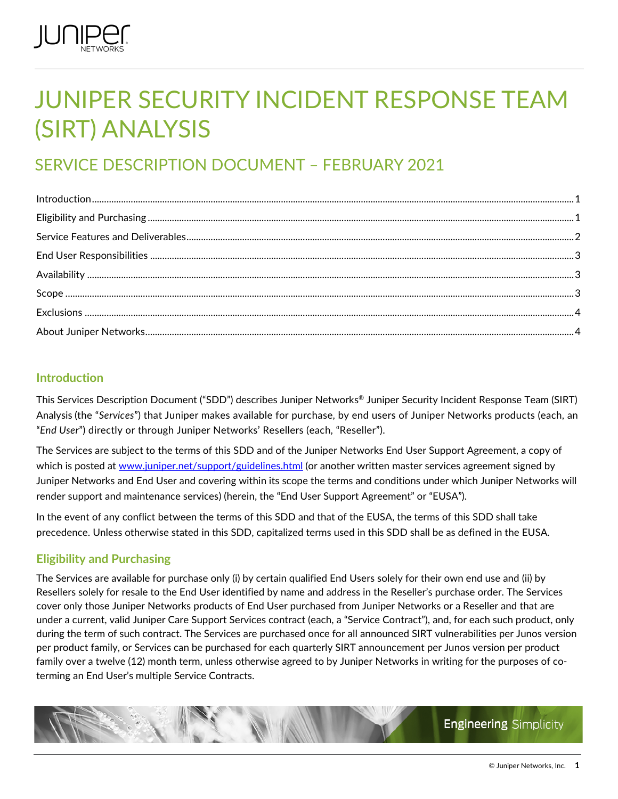

# JUNIPER SECURITY INCIDENT RESPONSE TEAM (SIRT) ANALYSIS

# SERVICE DESCRIPTION DOCUMENT – FEBRUARY 2021

# <span id="page-0-0"></span>**Introduction**

This Services Description Document ("SDD") describes Juniper Networks® Juniper Security Incident Response Team (SIRT) Analysis (the "*Services*") that Juniper makes available for purchase, by end users of Juniper Networks products (each, an "*End User*") directly or through Juniper Networks' Resellers (each, "Reseller").

The Services are subject to the terms of this SDD and of the Juniper Networks End User Support Agreement, a copy of which is posted at [www.juniper.net/support/guidelines.html](http://www.juniper.net/support/guidelines.html) (or another written master services agreement signed by Juniper Networks and End User and covering within its scope the terms and conditions under which Juniper Networks will render support and maintenance services) (herein, the "End User Support Agreement" or "EUSA").

In the event of any conflict between the terms of this SDD and that of the EUSA, the terms of this SDD shall take precedence. Unless otherwise stated in this SDD, capitalized terms used in this SDD shall be as defined in the EUSA.

# <span id="page-0-1"></span>**Eligibility and Purchasing**

The Services are available for purchase only (i) by certain qualified End Users solely for their own end use and (ii) by Resellers solely for resale to the End User identified by name and address in the Reseller's purchase order. The Services cover only those Juniper Networks products of End User purchased from Juniper Networks or a Reseller and that are under a current, valid Juniper Care Support Services contract (each, a "Service Contract"), and, for each such product, only during the term of such contract. The Services are purchased once for all announced SIRT vulnerabilities per Junos version per product family, or Services can be purchased for each quarterly SIRT announcement per Junos version per product family over a twelve (12) month term, unless otherwise agreed to by Juniper Networks in writing for the purposes of coterming an End User's multiple Service Contracts.

**Engineering Simplicity**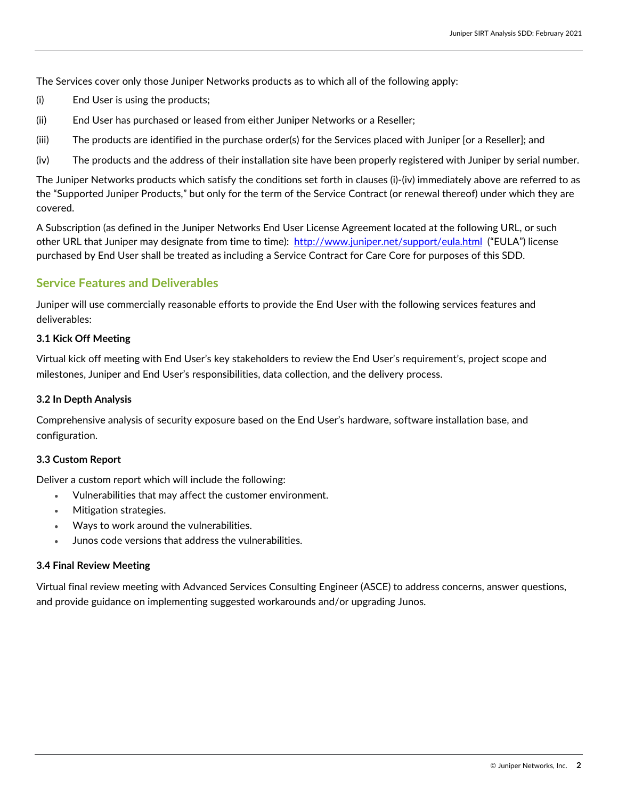The Services cover only those Juniper Networks products as to which all of the following apply:

- (i) End User is using the products;
- (ii) End User has purchased or leased from either Juniper Networks or a Reseller;
- (iii) The products are identified in the purchase order(s) for the Services placed with Juniper [or a Reseller]; and
- (iv) The products and the address of their installation site have been properly registered with Juniper by serial number.

The Juniper Networks products which satisfy the conditions set forth in clauses (i)-(iv) immediately above are referred to as the "Supported Juniper Products," but only for the term of the Service Contract (or renewal thereof) under which they are covered.

A Subscription (as defined in the Juniper Networks End User License Agreement located at the following URL, or such other URL that Juniper may designate from time to time):<http://www.juniper.net/support/eula.html>("EULA") license purchased by End User shall be treated as including a Service Contract for Care Core for purposes of this SDD.

# <span id="page-1-0"></span>**Service Features and Deliverables**

Juniper will use commercially reasonable efforts to provide the End User with the following services features and deliverables:

#### **3.1 Kick Off Meeting**

Virtual kick off meeting with End User's key stakeholders to review the End User's requirement's, project scope and milestones, Juniper and End User's responsibilities, data collection, and the delivery process.

#### **3.2 In Depth Analysis**

Comprehensive analysis of security exposure based on the End User's hardware, software installation base, and configuration.

#### **3.3 Custom Report**

Deliver a custom report which will include the following:

- Vulnerabilities that may affect the customer environment.
- Mitigation strategies.
- Ways to work around the vulnerabilities.
- Junos code versions that address the vulnerabilities.

#### **3.4 Final Review Meeting**

<span id="page-1-1"></span>Virtual final review meeting with Advanced Services Consulting Engineer (ASCE) to address concerns, answer questions, and provide guidance on implementing suggested workarounds and/or upgrading Junos.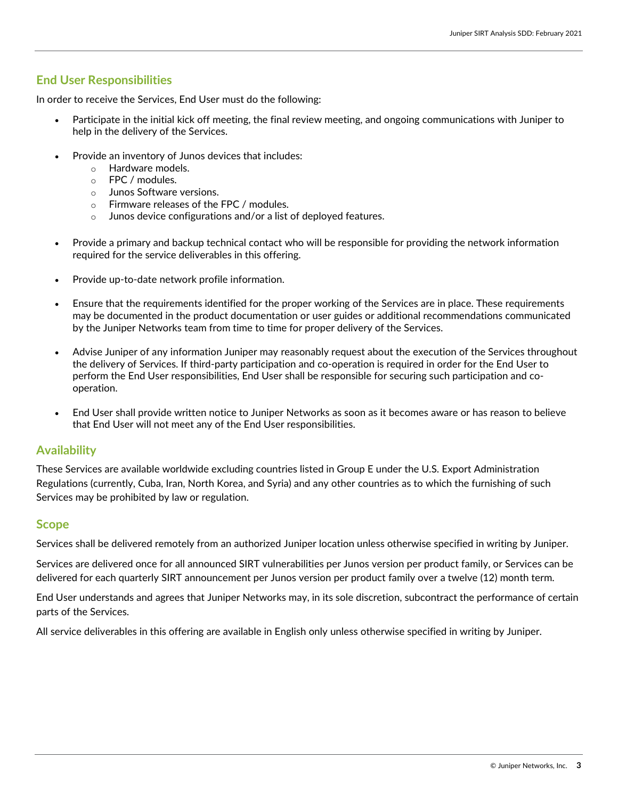# **End User Responsibilities**

In order to receive the Services, End User must do the following:

- Participate in the initial kick off meeting, the final review meeting, and ongoing communications with Juniper to help in the delivery of the Services.
- Provide an inventory of Junos devices that includes:
	- o Hardware models.
	- o FPC / modules.
	- o Junos Software versions.
	- o Firmware releases of the FPC / modules.
	- $\circ$  Junos device configurations and/or a list of deployed features.
- Provide a primary and backup technical contact who will be responsible for providing the network information required for the service deliverables in this offering.
- Provide up-to-date network profile information.
- Ensure that the requirements identified for the proper working of the Services are in place. These requirements may be documented in the product documentation or user guides or additional recommendations communicated by the Juniper Networks team from time to time for proper delivery of the Services.
- Advise Juniper of any information Juniper may reasonably request about the execution of the Services throughout the delivery of Services. If third-party participation and co-operation is required in order for the End User to perform the End User responsibilities, End User shall be responsible for securing such participation and cooperation.
- End User shall provide written notice to Juniper Networks as soon as it becomes aware or has reason to believe that End User will not meet any of the End User responsibilities.

#### <span id="page-2-0"></span>**Availability**

These Services are available worldwide excluding countries listed in Group E under the U.S. Export Administration Regulations (currently, Cuba, Iran, North Korea, and Syria) and any other countries as to which the furnishing of such Services may be prohibited by law or regulation.

## <span id="page-2-1"></span>**Scope**

Services shall be delivered remotely from an authorized Juniper location unless otherwise specified in writing by Juniper.

Services are delivered once for all announced SIRT vulnerabilities per Junos version per product family, or Services can be delivered for each quarterly SIRT announcement per Junos version per product family over a twelve (12) month term.

End User understands and agrees that Juniper Networks may, in its sole discretion, subcontract the performance of certain parts of the Services.

All service deliverables in this offering are available in English only unless otherwise specified in writing by Juniper.